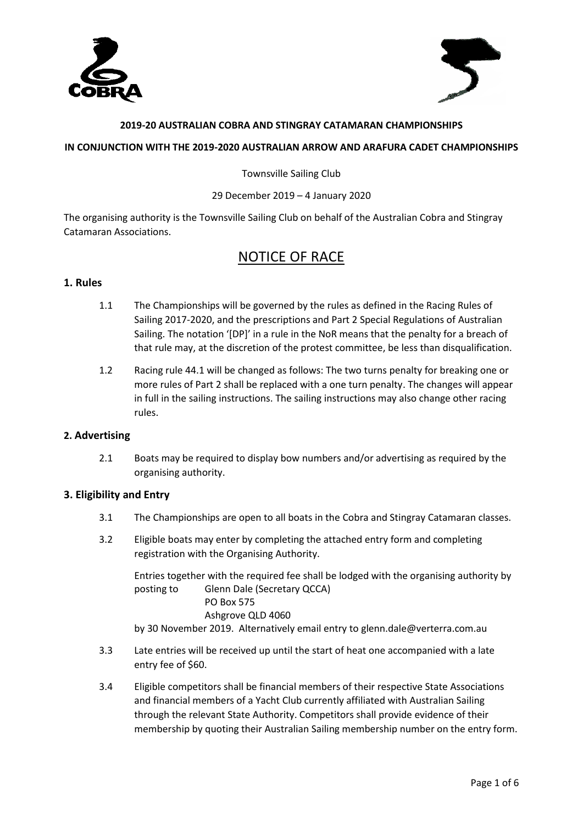



#### **2019-20 AUSTRALIAN COBRA AND STINGRAY CATAMARAN CHAMPIONSHIPS**

#### **IN CONJUNCTION WITH THE 2019-2020 AUSTRALIAN ARROW AND ARAFURA CADET CHAMPIONSHIPS**

Townsville Sailing Club

#### 29 December 2019 – 4 January 2020

The organising authority is the Townsville Sailing Club on behalf of the Australian Cobra and Stingray Catamaran Associations.

# NOTICE OF RACE

## **1. Rules**

- 1.1 The Championships will be governed by the rules as defined in the Racing Rules of Sailing 2017-2020, and the prescriptions and Part 2 Special Regulations of Australian Sailing. The notation '[DP]' in a rule in the NoR means that the penalty for a breach of that rule may, at the discretion of the protest committee, be less than disqualification.
- 1.2 Racing rule 44.1 will be changed as follows: The two turns penalty for breaking one or more rules of Part 2 shall be replaced with a one turn penalty. The changes will appear in full in the sailing instructions. The sailing instructions may also change other racing rules.

# **2. Advertising**

2.1 Boats may be required to display bow numbers and/or advertising as required by the organising authority.

# **3. Eligibility and Entry**

- 3.1 The Championships are open to all boats in the Cobra and Stingray Catamaran classes.
- 3.2 Eligible boats may enter by completing the attached entry form and completing registration with the Organising Authority.

Entries together with the required fee shall be lodged with the organising authority by posting to Glenn Dale (Secretary QCCA) PO Box 575 Ashgrove QLD 4060 by 30 November 2019. Alternatively email entry to glenn.dale@verterra.com.au

- 3.3 Late entries will be received up until the start of heat one accompanied with a late entry fee of \$60.
- 3.4 Eligible competitors shall be financial members of their respective State Associations and financial members of a Yacht Club currently affiliated with Australian Sailing through the relevant State Authority. Competitors shall provide evidence of their membership by quoting their Australian Sailing membership number on the entry form.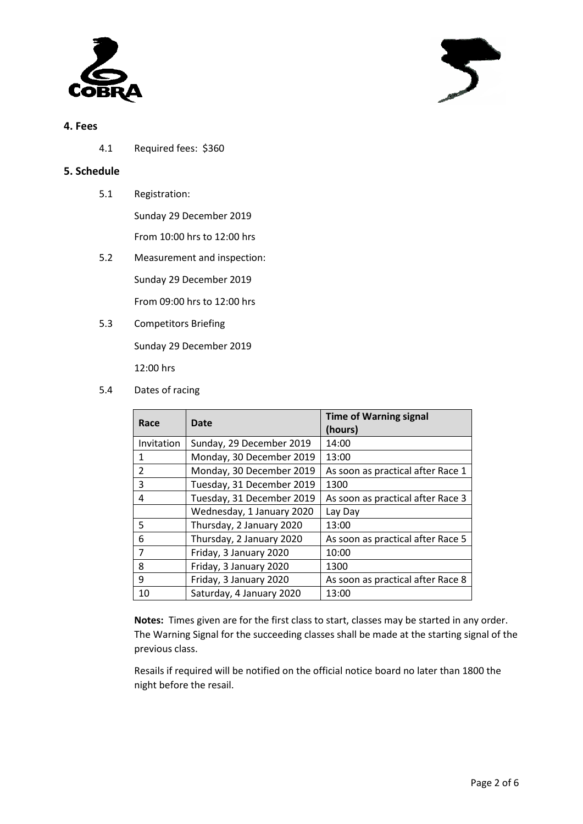

# **4. Fees**

4.1 Required fees: \$360

# **5. Schedule**

- 5.1 Registration: Sunday 29 December 2019 From 10:00 hrs to 12:00 hrs
- 5.2 Measurement and inspection: Sunday 29 December 2019 From 09:00 hrs to 12:00 hrs
- 5.3 Competitors Briefing Sunday 29 December 2019 12:00 hrs
- 5.4 Dates of racing

| Race           | Date                                                          | <b>Time of Warning signal</b><br>(hours) |
|----------------|---------------------------------------------------------------|------------------------------------------|
| Invitation     | Sunday, 29 December 2019                                      | 14:00                                    |
| 1              | Monday, 30 December 2019                                      | 13:00                                    |
| $\mathfrak{p}$ | Monday, 30 December 2019<br>As soon as practical after Race 1 |                                          |
| 3              | Tuesday, 31 December 2019                                     | 1300                                     |
| 4              | Tuesday, 31 December 2019                                     | As soon as practical after Race 3        |
|                | Wednesday, 1 January 2020                                     | Lay Day                                  |
| 5              | Thursday, 2 January 2020                                      | 13:00                                    |
| 6              | Thursday, 2 January 2020                                      | As soon as practical after Race 5        |
| 7              | Friday, 3 January 2020                                        | 10:00                                    |
| 8              | Friday, 3 January 2020                                        | 1300                                     |
| 9              | Friday, 3 January 2020                                        | As soon as practical after Race 8        |
| 10             | Saturday, 4 January 2020                                      | 13:00                                    |

**Notes:** Times given are for the first class to start, classes may be started in any order. The Warning Signal for the succeeding classes shall be made at the starting signal of the previous class.

Resails if required will be notified on the official notice board no later than 1800 the night before the resail.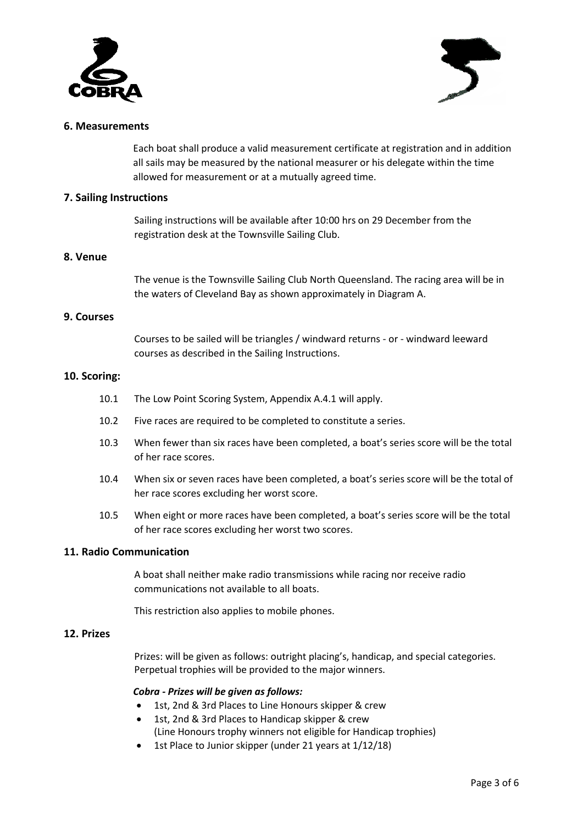



#### **6. Measurements**

Each boat shall produce a valid measurement certificate at registration and in addition all sails may be measured by the national measurer or his delegate within the time allowed for measurement or at a mutually agreed time.

## **7. Sailing Instructions**

Sailing instructions will be available after 10:00 hrs on 29 December from the registration desk at the Townsville Sailing Club.

#### **8. Venue**

The venue is the Townsville Sailing Club North Queensland. The racing area will be in the waters of Cleveland Bay as shown approximately in Diagram A.

#### **9. Courses**

Courses to be sailed will be triangles / windward returns - or - windward leeward courses as described in the Sailing Instructions.

#### **10. Scoring:**

- 10.1 The Low Point Scoring System, Appendix A.4.1 will apply.
- 10.2 Five races are required to be completed to constitute a series.
- 10.3 When fewer than six races have been completed, a boat's series score will be the total of her race scores.
- 10.4 When six or seven races have been completed, a boat's series score will be the total of her race scores excluding her worst score.
- 10.5 When eight or more races have been completed, a boat's series score will be the total of her race scores excluding her worst two scores.

# **11. Radio Communication**

A boat shall neither make radio transmissions while racing nor receive radio communications not available to all boats.

This restriction also applies to mobile phones.

#### **12. Prizes**

Prizes: will be given as follows: outright placing's, handicap, and special categories. Perpetual trophies will be provided to the major winners.

#### *Cobra - Prizes will be given as follows:*

- 1st, 2nd & 3rd Places to Line Honours skipper & crew
- 1st, 2nd & 3rd Places to Handicap skipper & crew (Line Honours trophy winners not eligible for Handicap trophies)
- 1st Place to Junior skipper (under 21 years at 1/12/18)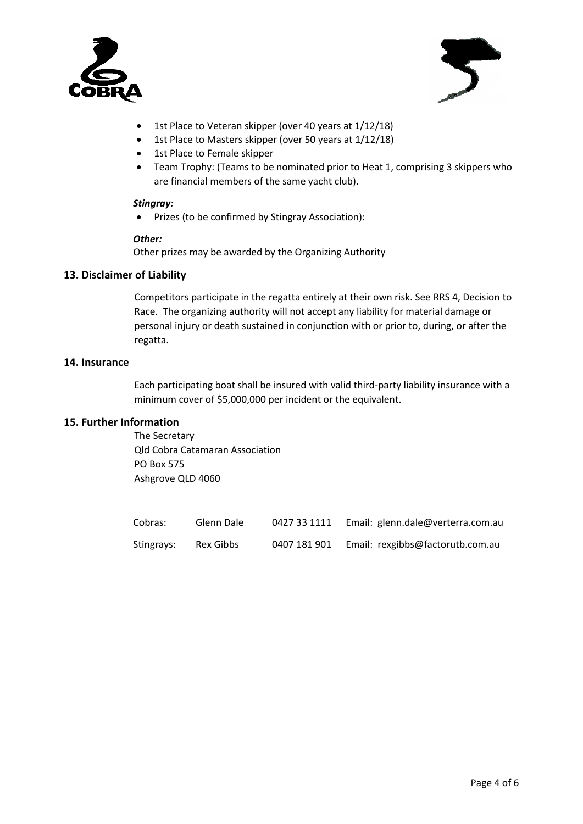



- 1st Place to Veteran skipper (over 40 years at 1/12/18)
- 1st Place to Masters skipper (over 50 years at 1/12/18)
- 1st Place to Female skipper
- Team Trophy: (Teams to be nominated prior to Heat 1, comprising 3 skippers who are financial members of the same yacht club).

#### *Stingray:*

• Prizes (to be confirmed by Stingray Association):

#### *Other:*

Other prizes may be awarded by the Organizing Authority

## **13. Disclaimer of Liability**

Competitors participate in the regatta entirely at their own risk. See RRS 4, Decision to Race. The organizing authority will not accept any liability for material damage or personal injury or death sustained in conjunction with or prior to, during, or after the regatta.

#### **14. Insurance**

Each participating boat shall be insured with valid third-party liability insurance with a minimum cover of \$5,000,000 per incident or the equivalent.

#### **15. Further Information**

The Secretary Qld Cobra Catamaran Association PO Box 575 Ashgrove QLD 4060

| Cobras:    | Glenn Dale | 0427 33 1111 | Email: glenn.dale@verterra.com.au |
|------------|------------|--------------|-----------------------------------|
| Stingrays: | Rex Gibbs  | 0407 181 901 | Email: rexgibbs@factorutb.com.au  |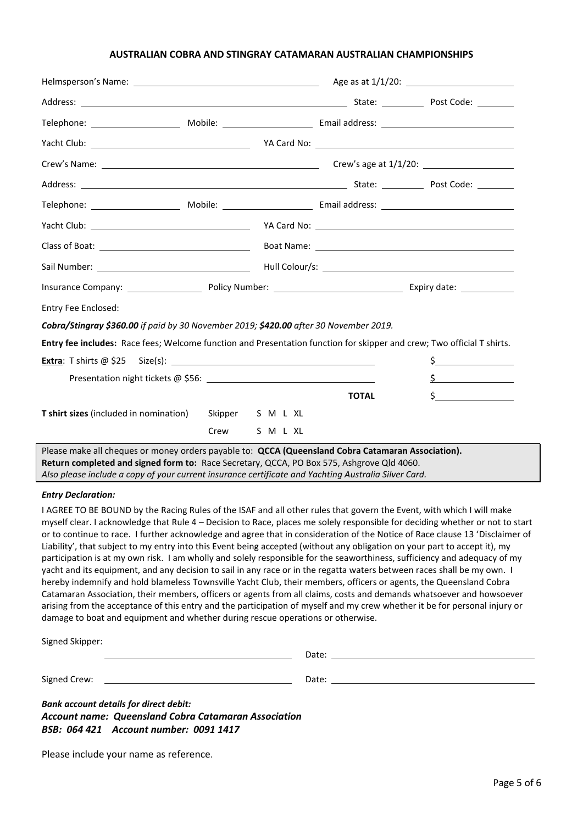#### **AUSTRALIAN COBRA AND STINGRAY CATAMARAN AUSTRALIAN CHAMPIONSHIPS**

| Entry Fee Enclosed:                                                                                                                                                                                                                                                                                     |      |                  |              |               |
|---------------------------------------------------------------------------------------------------------------------------------------------------------------------------------------------------------------------------------------------------------------------------------------------------------|------|------------------|--------------|---------------|
| Cobra/Stingray \$360.00 if paid by 30 November 2019; \$420.00 after 30 November 2019.                                                                                                                                                                                                                   |      |                  |              |               |
| Entry fee includes: Race fees; Welcome function and Presentation function for skipper and crew; Two official T shirts.                                                                                                                                                                                  |      |                  |              |               |
|                                                                                                                                                                                                                                                                                                         |      |                  |              | $\frac{1}{2}$ |
|                                                                                                                                                                                                                                                                                                         |      |                  |              | $\frac{1}{2}$ |
|                                                                                                                                                                                                                                                                                                         |      |                  | <b>TOTAL</b> | $\mathsf{S}$  |
| T shirt sizes (included in nomination)                                                                                                                                                                                                                                                                  |      | Skipper S M L XL |              |               |
|                                                                                                                                                                                                                                                                                                         | Crew | S M L XL         |              |               |
| Please make all cheques or money orders payable to: QCCA (Queensland Cobra Catamaran Association).<br>Return completed and signed form to: Race Secretary, QCCA, PO Box 575, Ashgrove Qld 4060.<br>Also please include a copy of your current insurance certificate and Yachting Australia Silver Card. |      |                  |              |               |

#### *Entry Declaration:*

I AGREE TO BE BOUND by the Racing Rules of the ISAF and all other rules that govern the Event, with which I will make myself clear. I acknowledge that Rule 4 – Decision to Race, places me solely responsible for deciding whether or not to start or to continue to race. I further acknowledge and agree that in consideration of the Notice of Race clause 13 'Disclaimer of Liability', that subject to my entry into this Event being accepted (without any obligation on your part to accept it), my participation is at my own risk. I am wholly and solely responsible for the seaworthiness, sufficiency and adequacy of my yacht and its equipment, and any decision to sail in any race or in the regatta waters between races shall be my own. I hereby indemnify and hold blameless Townsville Yacht Club, their members, officers or agents, the Queensland Cobra Catamaran Association, their members, officers or agents from all claims, costs and demands whatsoever and howsoever arising from the acceptance of this entry and the participation of myself and my crew whether it be for personal injury or damage to boat and equipment and whether during rescue operations or otherwise.

| Signed Skipper:                                                                                                                                                                                                                |                                                                                                                                                                                                                                |  |  |  |
|--------------------------------------------------------------------------------------------------------------------------------------------------------------------------------------------------------------------------------|--------------------------------------------------------------------------------------------------------------------------------------------------------------------------------------------------------------------------------|--|--|--|
|                                                                                                                                                                                                                                | Date: <u>____________</u>                                                                                                                                                                                                      |  |  |  |
|                                                                                                                                                                                                                                |                                                                                                                                                                                                                                |  |  |  |
| Signed Crew: the contract of the contract of the contract of the contract of the contract of the contract of the contract of the contract of the contract of the contract of the contract of the contract of the contract of t | Date: the contract of the contract of the contract of the contract of the contract of the contract of the contract of the contract of the contract of the contract of the contract of the contract of the contract of the cont |  |  |  |
|                                                                                                                                                                                                                                |                                                                                                                                                                                                                                |  |  |  |
| <b>Bank account details for direct debit:</b>                                                                                                                                                                                  |                                                                                                                                                                                                                                |  |  |  |
| <b>Account name: Queensland Cobra Catamaran Association</b>                                                                                                                                                                    |                                                                                                                                                                                                                                |  |  |  |

*BSB: 064 421 Account number: 0091 1417*

Please include your name as reference.